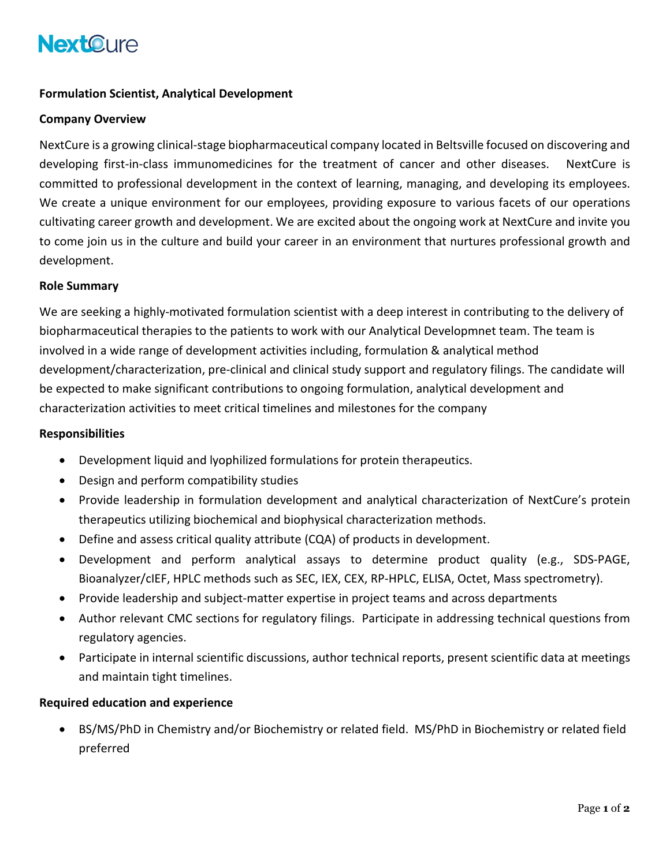## **NextOure**

### **Formulation Scientist, Analytical Development**

#### **Company Overview**

NextCure is a growing clinical-stage biopharmaceutical company located in Beltsville focused on discovering and developing first-in-class immunomedicines for the treatment of cancer and other diseases. NextCure is committed to professional development in the context of learning, managing, and developing its employees. We create a unique environment for our employees, providing exposure to various facets of our operations cultivating career growth and development. We are excited about the ongoing work at NextCure and invite you to come join us in the culture and build your career in an environment that nurtures professional growth and development.

#### **Role Summary**

We are seeking a highly-motivated formulation scientist with a deep interest in contributing to the delivery of biopharmaceutical therapies to the patients to work with our Analytical Developmnet team. The team is involved in a wide range of development activities including, formulation & analytical method development/characterization, pre-clinical and clinical study support and regulatory filings. The candidate will be expected to make significant contributions to ongoing formulation, analytical development and characterization activities to meet critical timelines and milestones for the company

#### **Responsibilities**

- Development liquid and lyophilized formulations for protein therapeutics.
- Design and perform compatibility studies
- Provide leadership in formulation development and analytical characterization of NextCure's protein therapeutics utilizing biochemical and biophysical characterization methods.
- Define and assess critical quality attribute (CQA) of products in development.
- Development and perform analytical assays to determine product quality (e.g., SDS-PAGE, Bioanalyzer/cIEF, HPLC methods such as SEC, IEX, CEX, RP-HPLC, ELISA, Octet, Mass spectrometry).
- Provide leadership and subject-matter expertise in project teams and across departments
- Author relevant CMC sections for regulatory filings. Participate in addressing technical questions from regulatory agencies.
- Participate in internal scientific discussions, author technical reports, present scientific data at meetings and maintain tight timelines.

#### **Required education and experience**

• BS/MS/PhD in Chemistry and/or Biochemistry or related field. MS/PhD in Biochemistry or related field preferred